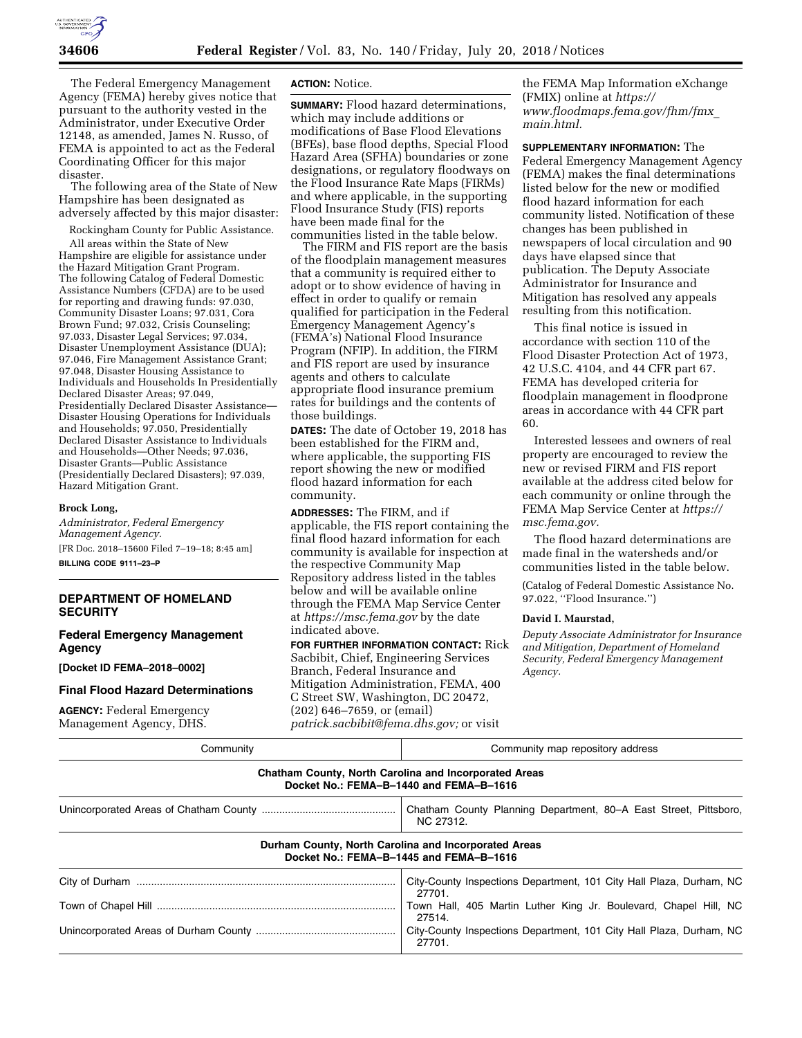

The Federal Emergency Management Agency (FEMA) hereby gives notice that pursuant to the authority vested in the Administrator, under Executive Order 12148, as amended, James N. Russo, of FEMA is appointed to act as the Federal Coordinating Officer for this major disaster.

The following area of the State of New Hampshire has been designated as adversely affected by this major disaster:

Rockingham County for Public Assistance.

All areas within the State of New Hampshire are eligible for assistance under the Hazard Mitigation Grant Program. The following Catalog of Federal Domestic Assistance Numbers (CFDA) are to be used for reporting and drawing funds: 97.030, Community Disaster Loans; 97.031, Cora Brown Fund; 97.032, Crisis Counseling; 97.033, Disaster Legal Services; 97.034, Disaster Unemployment Assistance (DUA); 97.046, Fire Management Assistance Grant; 97.048, Disaster Housing Assistance to Individuals and Households In Presidentially Declared Disaster Areas; 97.049, Presidentially Declared Disaster Assistance— Disaster Housing Operations for Individuals and Households; 97.050, Presidentially Declared Disaster Assistance to Individuals and Households—Other Needs; 97.036, Disaster Grants—Public Assistance (Presidentially Declared Disasters); 97.039, Hazard Mitigation Grant.

#### **Brock Long,**

*Administrator, Federal Emergency Management Agency.*  [FR Doc. 2018–15600 Filed 7–19–18; 8:45 am] **BILLING CODE 9111–23–P** 

# **DEPARTMENT OF HOMELAND SECURITY**

### **Federal Emergency Management Agency**

**[Docket ID FEMA–2018–0002]** 

**Final Flood Hazard Determinations** 

**AGENCY:** Federal Emergency Management Agency, DHS.

### **ACTION:** Notice.

**SUMMARY:** Flood hazard determinations, which may include additions or modifications of Base Flood Elevations (BFEs), base flood depths, Special Flood Hazard Area (SFHA) boundaries or zone designations, or regulatory floodways on the Flood Insurance Rate Maps (FIRMs) and where applicable, in the supporting Flood Insurance Study (FIS) reports have been made final for the communities listed in the table below.

The FIRM and FIS report are the basis of the floodplain management measures that a community is required either to adopt or to show evidence of having in effect in order to qualify or remain qualified for participation in the Federal Emergency Management Agency's (FEMA's) National Flood Insurance Program (NFIP). In addition, the FIRM and FIS report are used by insurance agents and others to calculate appropriate flood insurance premium rates for buildings and the contents of those buildings.

**DATES:** The date of October 19, 2018 has been established for the FIRM and, where applicable, the supporting FIS report showing the new or modified flood hazard information for each community.

**ADDRESSES:** The FIRM, and if applicable, the FIS report containing the final flood hazard information for each community is available for inspection at the respective Community Map Repository address listed in the tables below and will be available online through the FEMA Map Service Center at *<https://msc.fema.gov>*by the date indicated above.

**FOR FURTHER INFORMATION CONTACT:** Rick Sacbibit, Chief, Engineering Services Branch, Federal Insurance and Mitigation Administration, FEMA, 400 C Street SW, Washington, DC 20472, (202) 646–7659, or (email) *[patrick.sacbibit@fema.dhs.gov;](mailto:patrick.sacbibit@fema.dhs.gov)* or visit

the FEMA Map Information eXchange (FMIX) online at *[https://](https://www.floodmaps.fema.gov/fhm/fmx_main.html) [www.floodmaps.fema.gov/fhm/fmx](https://www.floodmaps.fema.gov/fhm/fmx_main.html)*\_ *[main.html.](https://www.floodmaps.fema.gov/fhm/fmx_main.html)* 

**SUPPLEMENTARY INFORMATION:** The Federal Emergency Management Agency (FEMA) makes the final determinations listed below for the new or modified flood hazard information for each community listed. Notification of these changes has been published in newspapers of local circulation and 90 days have elapsed since that publication. The Deputy Associate Administrator for Insurance and Mitigation has resolved any appeals resulting from this notification.

This final notice is issued in accordance with section 110 of the Flood Disaster Protection Act of 1973, 42 U.S.C. 4104, and 44 CFR part 67. FEMA has developed criteria for floodplain management in floodprone areas in accordance with 44 CFR part 60.

Interested lessees and owners of real property are encouraged to review the new or revised FIRM and FIS report available at the address cited below for each community or online through the FEMA Map Service Center at *[https://](https://msc.fema.gov) [msc.fema.gov.](https://msc.fema.gov)* 

The flood hazard determinations are made final in the watersheds and/or communities listed in the table below.

(Catalog of Federal Domestic Assistance No. 97.022, ''Flood Insurance.'')

#### **David I. Maurstad,**

*Deputy Associate Administrator for Insurance and Mitigation, Department of Homeland Security, Federal Emergency Management Agency.* 

| манадентент денсу, отно.<br>$p$ utrick.sucbibli@ $p$ triu.ulis.gov, of visit |                                                                                                         |
|------------------------------------------------------------------------------|---------------------------------------------------------------------------------------------------------|
| Community                                                                    | Community map repository address                                                                        |
|                                                                              | <b>Chatham County, North Carolina and Incorporated Areas</b><br>Docket No.: FEMA-B-1440 and FEMA-B-1616 |
|                                                                              | Chatham County Planning Department, 80-A East Street, Pittsboro,<br>NC 27312.                           |
|                                                                              | Durham County, North Carolina and Incorporated Areas<br>Docket No.: FEMA-B-1445 and FEMA-B-1616         |
|                                                                              | City-County Inspections Department, 101 City Hall Plaza, Durham, NC<br>27701.                           |
|                                                                              | Town Hall, 405 Martin Luther King Jr. Boulevard, Chapel Hill, NC<br>27514.                              |
|                                                                              | City-County Inspections Department, 101 City Hall Plaza, Durham, NC<br>27701.                           |